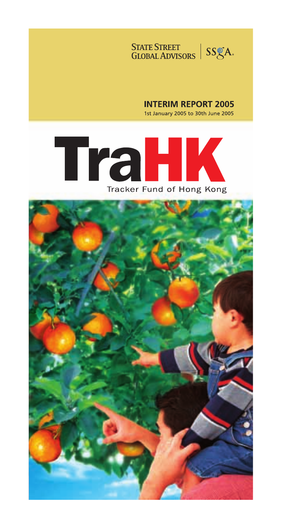

# **INTERIM REPORT 2005**

1st January 2005 to 30th June 2005



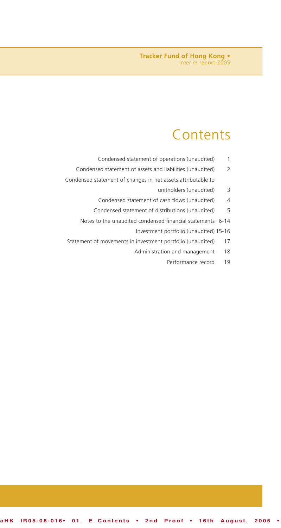# **Contents**

- Condensed statement of operations (unaudited) 1
- Condensed statement of assets and liabilities (unaudited) 2
- Condensed statement of changes in net assets attributable to
	- unitholders (unaudited) 3
	- Condensed statement of cash flows (unaudited) 4
	- Condensed statement of distributions (unaudited) 5
	- Notes to the unaudited condensed financial statements 6-14
		- Investment portfolio (unaudited) 15-16
- Statement of movements in investment portfolio (unaudited) 17
	- Administration and management 18
		- Performance record 19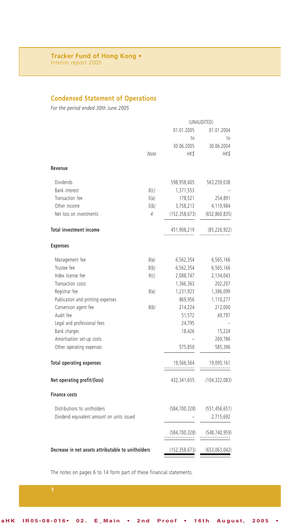# **Condensed Statement of Operations**

*For the period ended 30th June 2005*

|                                                    | (UNAUDITED) |                 |                 |
|----------------------------------------------------|-------------|-----------------|-----------------|
|                                                    |             | 01.01.2004      |                 |
|                                                    |             | to              | to              |
|                                                    |             | 30.06.2005      | 30.06.2004      |
|                                                    | Note        | HK\$            | HK\$            |
| Revenue                                            |             |                 |                 |
| <b>Dividends</b>                                   |             | 598,958,605     | 563,259,038     |
| Bank interest                                      | 8(c)        | 1,371,553       |                 |
| Transaction fee                                    | 5(a)        | 178,521         | 254,891         |
| Other income                                       | 5(b)        | 3,758,213       | 4,119,984       |
| Net loss on investments                            | 4           | (152, 358, 673) | (652,860,835)   |
| <b>Total investment income</b>                     |             | 451,908,219     | (85, 226, 922)  |
| <b>Expenses</b>                                    |             |                 |                 |
| Management fee                                     | 8(a)        | 6,562,354       | 6,565,166       |
| Trustee fee                                        | 8(b)        | 6,562,354       | 6,565,166       |
| Index license fee                                  | 9(c)        | 2,088,747       | 2,134,043       |
| Transaction costs                                  |             | 1,366,363       | 202,207         |
| Registrar fee                                      | 9(a)        | 1,231,923       | 1,386,099       |
| Publication and printing expenses                  |             | 869,956         | 1,110,277       |
| Conversion agent fee                               | 9(b)        | 214,224         | 212,000         |
| Audit fee                                          |             | 51,572          | 49,797          |
| Legal and professional fees                        |             | 24,795          |                 |
| Bank charges                                       |             | 18,426          | 15,224          |
| Amortisation set-up costs                          |             |                 | 269,786         |
| Other operating expenses                           |             | 575,850         | 585,396         |
| <b>Total operating expenses</b>                    |             | 19,566,564      | 19,095,161      |
| Net operating profit/(loss)                        |             | 432,341,655     | (104, 322, 083) |
| <b>Finance costs</b>                               |             |                 |                 |
| Distributions to unitholders                       |             | (584, 700, 328) | (551, 456, 651) |
| Dividend equivalent amount on units issued         |             |                 | 2,715,692       |
|                                                    |             | (584, 700, 328) | (548, 740, 959) |
| Decrease in net assets attributable to unitholders |             | (152, 358, 673) | (653,063,042)   |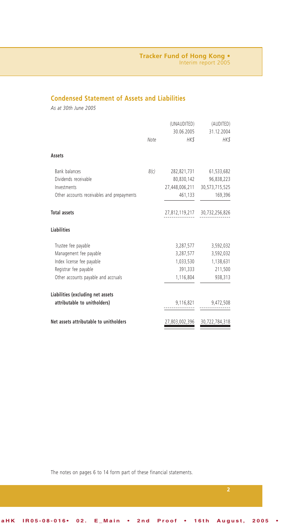# **Condensed Statement of Assets and Liabilities**

*As at 30th June 2005*

|                                            | Note | (UNAUDITED)<br>30.06.2005<br>HK\$ | (AUDITED)<br>31.12.2004<br>HK\$ |
|--------------------------------------------|------|-----------------------------------|---------------------------------|
| Assets                                     |      |                                   |                                 |
| <b>Bank balances</b>                       | 8(c) |                                   | 282,821,731 61,533,682          |
| Dividends receivable                       |      | 80,830,142                        | 96,838,223                      |
| Investments                                |      |                                   | 27,448,006,211 30,573,715,525   |
| Other accounts receivables and prepayments |      | 461,133                           | 169,396                         |
| <b>Total assets</b>                        |      |                                   | 27,812,119,217 30,732,256,826   |
| <b>Liabilities</b>                         |      |                                   |                                 |
| Trustee fee payable                        |      | 3,287,577                         | 3,592,032                       |
| Management fee payable                     |      | 3,287,577                         | 3,592,032                       |
| Index license fee payable                  |      | 1,033,530                         | 1,138,631                       |
| Registrar fee payable                      |      | 391,333                           | 211,500                         |
| Other accounts payable and accruals        |      | 1,116,804                         | 938,313                         |
| Liabilities (excluding net assets          |      |                                   |                                 |
| attributable to unitholders)               |      | 9,116,821                         | 9,472,508                       |
| Net assets attributable to unitholders     |      | 27,803,002,396                    | 30,722,784,318                  |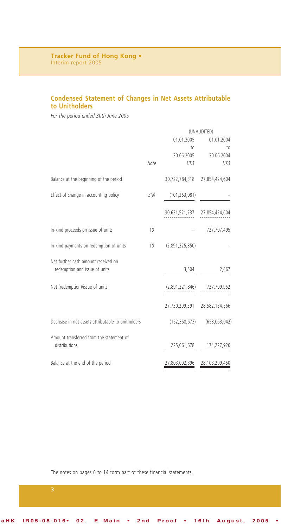## **Condensed Statement of Changes in Net Assets Attributable to Unitholders**

*For the period ended 30th June 2005*

|                                                    | (UNAUDITED) |                               |                |  |
|----------------------------------------------------|-------------|-------------------------------|----------------|--|
|                                                    |             | 01.01.2005                    | 01.01.2004     |  |
|                                                    |             | 10 <sub>1</sub>               | to             |  |
|                                                    |             | 30.06.2005                    | 30.06.2004     |  |
|                                                    | Note        | HK\$                          | HK\$           |  |
| Balance at the beginning of the period             |             | 30,722,784,318 27,854,424,604 |                |  |
| Effect of change in accounting policy              | 3(a)        | (101, 263, 081)               |                |  |
|                                                    |             | 30,621,521,237 27,854,424,604 |                |  |
| In-kind proceeds on issue of units                 | 10          |                               | 727,707,495    |  |
| In-kind payments on redemption of units            | 10          | (2,891,225,350)               |                |  |
| Net further cash amount received on                |             |                               |                |  |
| redemption and issue of units                      |             | 3,504                         | 2,467          |  |
| Net (redemption)/issue of units                    |             | (2,891,221,846)               | 727,709,962    |  |
|                                                    |             | 27,730,299,391 28,582,134,566 |                |  |
| Decrease in net assets attributable to unitholders |             | (152, 358, 673)               | (653,063,042)  |  |
| Amount transferred from the statement of           |             |                               |                |  |
| distributions                                      |             | 225,061,678                   | 174,227,926    |  |
| Balance at the end of the period                   |             | 27,803,002,396                | 28,103,299,450 |  |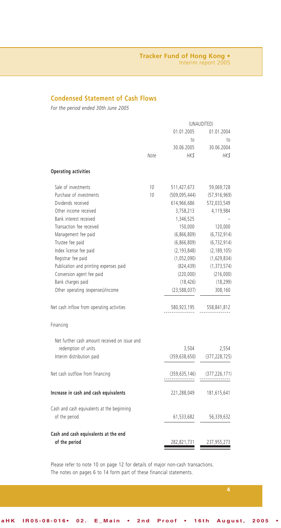## **Condensed Statement of Cash Flows**

*For the period ended 30th June 2005*

|                                               | (UNAUDITED) |                 |                 |  |
|-----------------------------------------------|-------------|-----------------|-----------------|--|
|                                               | 01.01.2005  |                 | 01.01.2004      |  |
|                                               |             | to              | to              |  |
|                                               |             | 30.06.2005      | 30.06.2004      |  |
|                                               | Note        | HK\$            | HK\$            |  |
| <b>Operating activities</b>                   |             |                 |                 |  |
| Sale of investments                           | 10          | 511,427,673     | 59,069,728      |  |
| Purchase of investments                       | 10          | (509, 095, 444) | (57, 916, 969)  |  |
| Dividends received                            |             | 614,966,686     | 572,033,549     |  |
| Other income received                         |             | 3,758,213       | 4,119,984       |  |
| Bank interest received                        |             | 1,346,525       |                 |  |
| Transaction fee received                      |             | 150,000         | 120,000         |  |
| Management fee paid                           |             | (6,866,809)     | (6, 732, 914)   |  |
| Trustee fee paid                              |             | (6,866,809)     | (6, 732, 914)   |  |
| Index license fee paid                        |             | (2, 193, 848)   | (2, 189, 105)   |  |
| Registrar fee paid                            |             | (1,052,090)     | (1,629,834)     |  |
| Publication and printing expenses paid        |             | (824, 439)      | (1, 373, 574)   |  |
| Conversion agent fee paid                     |             | (220,000)       | (216,000)       |  |
| Bank charges paid                             |             | (18, 426)       | (18, 299)       |  |
| Other operating (expenses)/income             |             | (23, 588, 037)  | 308,160         |  |
| Net cash inflow from operating activities     |             | 580,923,195     | 558,841,812     |  |
| Financing                                     |             |                 |                 |  |
| Net further cash amount received on issue and |             |                 |                 |  |
| redemption of units                           |             | 3,504           | 2,554           |  |
| Interim distribution paid                     |             | (359, 638, 650) | (377, 228, 725) |  |
| Net cash outflow from financing               |             | (359, 635, 146) | (377, 226, 171) |  |
| Increase in cash and cash equivalents         |             | 221,288,049     | 181,615,641     |  |
| Cash and cash equivalents at the beginning    |             |                 |                 |  |
| of the period                                 |             | 61,533,682      | 56,339,632      |  |
| Cash and cash equivalents at the end          |             |                 |                 |  |
| of the period                                 |             | 282,821,731     | 237,955,273     |  |

Please refer to note 10 on page 12 for details of major non-cash transactions. The notes on pages 6 to 14 form part of these financial statements.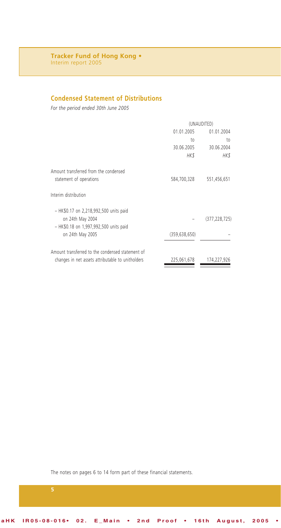# **Condensed Statement of Distributions**

*For the period ended 30th June 2005*

|                                                   | (UNAUDITED)     |               |  |
|---------------------------------------------------|-----------------|---------------|--|
|                                                   | 01.01.2005      | 01.01.2004    |  |
|                                                   | to              | to            |  |
|                                                   | 30.06.2005      | 30.06.2004    |  |
|                                                   | HK\$            | HK\$          |  |
| Amount transferred from the condensed             |                 |               |  |
| statement of operations                           | 584,700,328     | 551,456,651   |  |
| Interim distribution                              |                 |               |  |
| - HK\$0.17 on 2,218,992,500 units paid            |                 |               |  |
| on 24th May 2004                                  |                 | (377,228,725) |  |
| - HK\$0.18 on 1,997,992,500 units paid            |                 |               |  |
| on 24th May 2005                                  | (359, 638, 650) |               |  |
| Amount transferred to the condensed statement of  |                 |               |  |
| changes in net assets attributable to unitholders | 225,061,678     | 174,227,926   |  |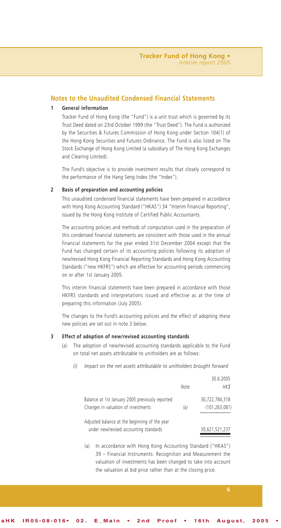#### **1 General information**

Tracker Fund of Hong Kong (the "Fund") is a unit trust which is governed by its Trust Deed dated on 23rd October 1999 (the "Trust Deed"). The Fund is authorized by the Securities & Futures Commission of Hong Kong under Section 104(1) of the Hong Kong Securities and Futures Ordinance. The Fund is also listed on The Stock Exchange of Hong Kong Limited (a subsidiary of The Hong Kong Exchanges and Clearing Limited).

The Fund's objective is to provide investment results that closely correspond to the performance of the Hang Seng Index (the "Index").

#### **2 Basis of preparation and accounting policies**

This unaudited condensed financial statements have been prepared in accordance with Hong Kong Accounting Standard ("HKAS") 34 "Interim Financial Reporting", issued by the Hong Kong Institute of Certified Public Accountants.

The accounting policies and methods of computation used in the preparation of this condensed financial statements are consistent with those used in the annual financial statements for the year ended 31st December 2004 except that the Fund has changed certain of its accounting policies following its adoption of new/revised Hong Kong Financial Reporting Standards and Hong Kong Accounting Standards ("new HKFRS") which are effective for accounting periods commencing on or after 1st January 2005.

This interim financial statements have been prepared in accordance with those HKFRS standards and interpretations issued and effective as at the time of preparing this information (July 2005).

The changes to the Fund's accounting policies and the effect of adopting these new policies are set out in note 3 below.

#### **3 Effect of adoption of new/revised accounting standards**

- (a) The adoption of new/revised accounting standards applicable to the Fund on total net assets attributable to unitholders are as follows:
	- *(i) Impact on the net assets attributable to unitholders brought forward*

|                                                 |      | 30.6.2005       |
|-------------------------------------------------|------|-----------------|
|                                                 | Note | HK\$            |
| Balance at 1st January 2005 previously reported |      | 30,722,784,318  |
| Changes in valuation of investments             | (a)  | (101, 263, 081) |
| Adjusted balance at the beginning of the year   |      |                 |
| under new/revised accounting standards          |      | 30,621,521,237  |

(a) In accordance with Hong Kong Accounting Standard ("HKAS") 39 – Financial Instruments: Recognition and Measurement the valuation of investments has been changed to take into account the valuation at bid price rather than at the closing price.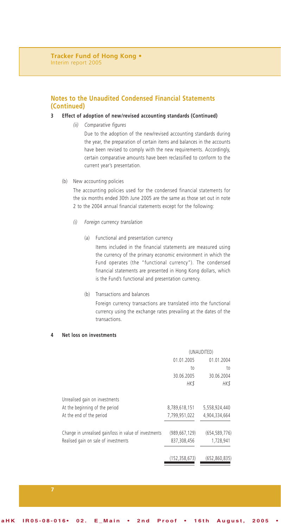#### **3 Effect of adoption of new/revised accounting standards (Continued)**

*(ii) Comparative figures*

Due to the adoption of the new/revised accounting standards during the year, the preparation of certain items and balances in the accounts have been revised to comply with the new requirements. Accordingly, certain comparative amounts have been reclassified to conform to the current year's presentation.

(b) New accounting policies

The accounting policies used for the condensed financial statements for the six months ended 30th June 2005 are the same as those set out in note 2 to the 2004 annual financial statements except for the following:

- *(i) Foreign currency translation*
	- (a) Functional and presentation currency Items included in the financial statements are measured using the currency of the primary economic environment in which the Fund operates (the "functional currency"). The condensed financial statements are presented in Hong Kong dollars, which is the Fund's functional and presentation currency.
	- (b) Transactions and balances Foreign currency transactions are translated into the functional currency using the exchange rates prevailing at the dates of the transactions.

#### **4 Net loss on investments**

|                                                        | (UNAUDITED)     |                 |  |
|--------------------------------------------------------|-----------------|-----------------|--|
|                                                        | 01.01.2005      | 01.01.2004      |  |
|                                                        | to              | to              |  |
|                                                        | 30.06.2005      | 30.06.2004      |  |
|                                                        | <b>HKS</b>      | HK\$            |  |
| Unrealised gain on investments                         |                 |                 |  |
| At the beginning of the period                         | 8,789,618,151   | 5,558,924,440   |  |
| At the end of the period                               | 7,799,951,022   | 4.904.334.664   |  |
| Change in unrealised gain/loss in value of investments | (989.667.129)   | (654, 589, 776) |  |
| Realised gain on sale of investments                   | 837,308,456     | 1,728,941       |  |
|                                                        | (152, 358, 673) | (652,860,835)   |  |
|                                                        |                 |                 |  |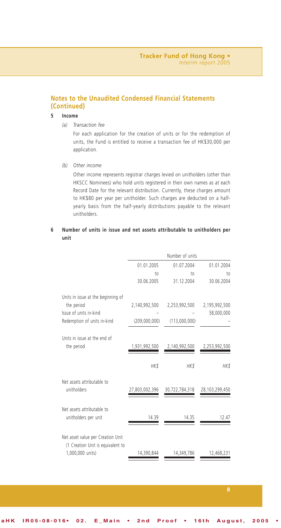## **5 Income**

*(a) Transaction fee*

For each application for the creation of units or for the redemption of units, the Fund is entitled to receive a transaction fee of HK\$30,000 per application.

*(b) Other income*

Other income represents registrar charges levied on unitholders (other than HKSCC Nominees) who hold units registered in their own names as at each Record Date for the relevant distribution. Currently, these charges amount to HK\$80 per year per unitholder. Such charges are deducted on a halfyearly basis from the half-yearly distributions payable to the relevant unitholders.

#### **6 Number of units in issue and net assets attributable to unitholders per unit**

|                                                                        | Number of units |                 |                |  |
|------------------------------------------------------------------------|-----------------|-----------------|----------------|--|
|                                                                        | 01.01.2005      | 01.07.2004      | 01.01.2004     |  |
|                                                                        | to              | 10 <sub>o</sub> | to             |  |
|                                                                        | 30.06.2005      | 31.12.2004      | 30.06.2004     |  |
| Units in issue at the beginning of                                     |                 |                 |                |  |
| the period                                                             | 2,140,992,500   | 2,253,992,500   | 2,195,992,500  |  |
| Issue of units in-kind                                                 |                 |                 | 58,000,000     |  |
| Redemption of units in-kind                                            | (209,000,000)   | (113,000,000)   |                |  |
| Units in issue at the end of                                           |                 |                 |                |  |
| the period                                                             | 1,931,992,500   | 2,140,992,500   | 2,253,992,500  |  |
|                                                                        | HK\$            | HK\$            | HK\$           |  |
|                                                                        |                 |                 |                |  |
| Net assets attributable to<br>unitholders                              | 27,803,002,396  | 30,722,784,318  | 28,103,299,450 |  |
| Net assets attributable to<br>unitholders per unit                     | 14.39           | 14.35           | 12.47          |  |
| Net asset value per Creation Unit<br>(1 Creation Unit is equivalent to |                 |                 |                |  |
| 1,000,000 units)                                                       | 14,390,844      | 14,349,786      | 12,468,231     |  |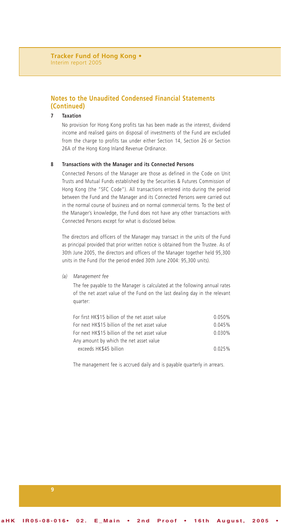#### **7 Taxation**

No provision for Hong Kong profits tax has been made as the interest, dividend income and realised gains on disposal of investments of the Fund are excluded from the charge to profits tax under either Section 14, Section 26 or Section 26A of the Hong Kong Inland Revenue Ordinance.

#### **8 Transactions with the Manager and its Connected Persons**

Connected Persons of the Manager are those as defined in the Code on Unit Trusts and Mutual Funds established by the Securities & Futures Commission of Hong Kong (the "SFC Code"). All transactions entered into during the period between the Fund and the Manager and its Connected Persons were carried out in the normal course of business and on normal commercial terms. To the best of the Manager's knowledge, the Fund does not have any other transactions with Connected Persons except for what is disclosed below.

The directors and officers of the Manager may transact in the units of the Fund as principal provided that prior written notice is obtained from the Trustee. As of 30th June 2005, the directors and officers of the Manager together held 95,300 units in the Fund (for the period ended 30th June 2004: 95,300 units).

#### *(a) Management fee*

The fee payable to the Manager is calculated at the following annual rates of the net asset value of the Fund on the last dealing day in the relevant quarter:

| For first HK\$15 billion of the net asset value | 0.050% |
|-------------------------------------------------|--------|
| For next HK\$15 billion of the net asset value  | 0.045% |
| For next HK\$15 billion of the net asset value  | 0.030% |
| Any amount by which the net asset value         |        |
| exceeds HK\$45 billion                          | 0.025% |
|                                                 |        |

The management fee is accrued daily and is payable quarterly in arrears.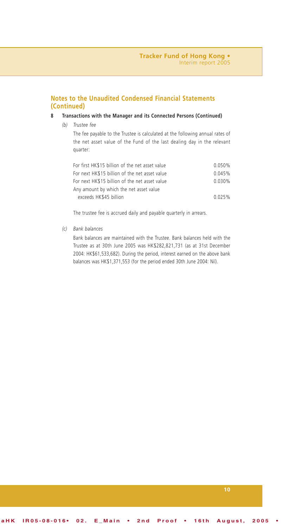#### **8 Transactions with the Manager and its Connected Persons (Continued)**

*(b) Trustee fee*

The fee payable to the Trustee is calculated at the following annual rates of the net asset value of the Fund of the last dealing day in the relevant quarter:

| For first HK\$15 billion of the net asset value | 0.050% |
|-------------------------------------------------|--------|
| For next HK\$15 billion of the net asset value  | 0.045% |
| For next HK\$15 billion of the net asset value  | 0.030% |
| Any amount by which the net asset value         |        |
| exceeds HK\$45 billion                          | 0.025% |
|                                                 |        |

The trustee fee is accrued daily and payable quarterly in arrears.

*(c) Bank balances*

Bank balances are maintained with the Trustee. Bank balances held with the Trustee as at 30th June 2005 was HK\$282,821,731 (as at 31st December 2004: HK\$61,533,682). During the period, interest earned on the above bank balances was HK\$1,371,553 (for the period ended 30th June 2004: Nil).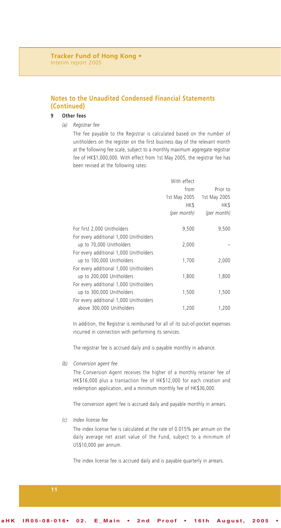#### **9 Other fees**

*(a) Registrar fee*

The fee payable to the Registrar is calculated based on the number of unitholders on the register on the first business day of the relevant month at the following fee scale, subject to a monthly maximum aggregate registrar fee of HK\$1,000,000. With effect from 1st May 2005, the registrar fee has been revised at the following rates:

|                                                                     | With effect<br>from<br>1st May 2005 | Prior to<br>1st May 2005 |
|---------------------------------------------------------------------|-------------------------------------|--------------------------|
|                                                                     | HK\$<br>(per month)                 | HK\$<br>(per month)      |
|                                                                     |                                     |                          |
| For first 2,000 Unitholders                                         | 9,500                               | 9,500                    |
| For every additional 1,000 Unitholders<br>up to 70,000 Unitholders  | 2,000                               |                          |
| For every additional 1,000 Unitholders                              |                                     |                          |
| up to 100,000 Unitholders                                           | 1.700                               | 2,000                    |
| For every additional 1,000 Unitholders<br>up to 200,000 Unitholders | 1,800                               | 1,800                    |
| For every additional 1,000 Unitholders<br>up to 300,000 Unitholders | 1,500                               | 1,500                    |
| For every additional 1,000 Unitholders                              |                                     |                          |
| above 300,000 Unitholders                                           | 1,200                               | 1,200                    |

In addition, the Registrar is reimbursed for all of its out-of-pocket expenses incurred in connection with performing its services.

The registrar fee is accrued daily and is payable monthly in advance.

*(b) Conversion agent fee*

The Conversion Agent receives the higher of a monthly retainer fee of HK\$16,000 plus a transaction fee of HK\$12,000 for each creation and redemption application, and a minimum monthly fee of HK\$36,000.

The conversion agent fee is accrued daily and payable monthly in arrears.

*(c) Index license fee*

The index license fee is calculated at the rate of 0.015% per annum on the daily average net asset value of the Fund, subject to a minimum of US\$10,000 per annum.

The index license fee is accrued daily and is payable quarterly in arrears.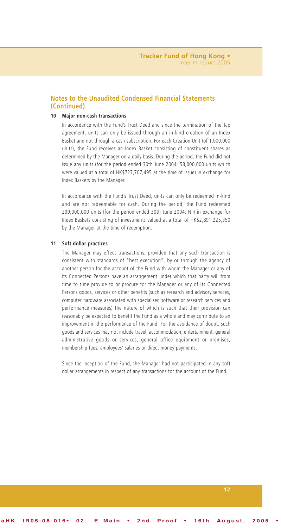#### **10 Major non-cash transactions**

In accordance with the Fund's Trust Deed and since the termination of the Tap agreement, units can only be issued through an in-kind creation of an Index Basket and not through a cash subscription. For each Creation Unit (of 1,000,000 units), the Fund receives an Index Basket consisting of constituent shares as determined by the Manager on a daily basis. During the period, the Fund did not issue any units (for the period ended 30th June 2004: 58,000,000 units which were valued at a total of HK\$727,707,495 at the time of issue) in exchange for Index Baskets by the Manager.

In accordance with the Fund's Trust Deed, units can only be redeemed in-kind and are not redeemable for cash. During the period, the Fund redeemed 209,000,000 units (for the period ended 30th June 2004: Nil) in exchange for Index Baskets consisting of investments valued at a total of HK\$2,891,225,350 by the Manager at the time of redemption.

#### **11 Soft dollar practices**

The Manager may effect transactions, provided that any such transaction is consistent with standards of "best execution", by or through the agency of another person for the account of the Fund with whom the Manager or any of its Connected Persons have an arrangement under which that party will from time to time provide to or procure for the Manager or any of its Connected Persons goods, services or other benefits (such as research and advisory services, computer hardware associated with specialised software or research services and performance measures) the nature of which is such that their provision can reasonably be expected to benefit the Fund as a whole and may contribute to an improvement in the performance of the Fund. For the avoidance of doubt, such goods and services may not include travel, accommodation, entertainment, general administrative goods or services, general office equipment or premises, membership fees, employees' salaries or direct money payments.

Since the inception of the Fund, the Manager had not participated in any soft dollar arrangements in respect of any transactions for the account of the Fund.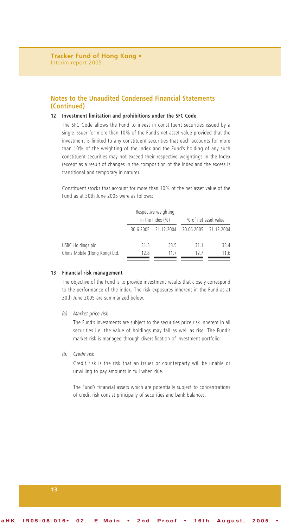#### **12 Investment limitation and prohibitions under the SFC Code**

The SFC Code allows the Fund to invest in constituent securities issued by a single issuer for more than 10% of the Fund's net asset value provided that the investment is limited to any constituent securities that each accounts for more than 10% of the weighting of the Index and the Fund's holding of any such constituent securities may not exceed their respective weightings in the Index (except as a result of changes in the composition of the Index and the excess is transitional and temporary in nature).

Constituent stocks that account for more than 10% of the net asset value of the Fund as at 30th June 2005 were as follows:

|                               |           | Respective weighting<br>in the Index $(\%)$ | % of net asset value |            |
|-------------------------------|-----------|---------------------------------------------|----------------------|------------|
|                               | 30.6.2005 | 31.12.2004                                  | 30.06.2005           | 31.12.2004 |
| HSBC Holdings plc             | 31.5      | 33.5                                        | 31.1                 | 33.4       |
| China Mobile (Hong Kong) Ltd. | 12.8      | 11 7                                        | 12 7                 | 11.6       |

#### **13 Financial risk management**

The objective of the Fund is to provide investment results that closely correspond to the performance of the index. The risk exposures inherent in the Fund as at 30th June 2005 are summarized below.

*(a) Market price risk*

The Fund's investments are subject to the securities price risk inherent in all securities i.e. the value of holdings may fall as well as rise. The Fund's market risk is managed through diversification of investment portfolio.

*(b) Credit risk*

Credit risk is the risk that an issuer or counterparty will be unable or unwilling to pay amounts in full when due.

The Fund's financial assets which are potentially subject to concentrations of credit risk consist principally of securities and bank balances.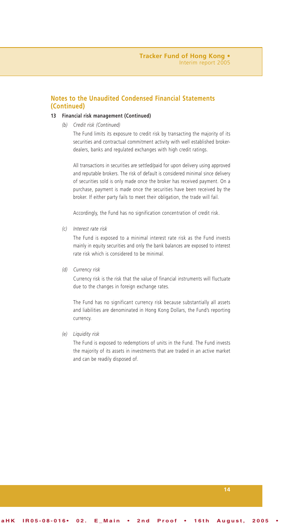#### **13 Financial risk management (Continued)**

*(b) Credit risk (Continued)*

The Fund limits its exposure to credit risk by transacting the majority of its securities and contractual commitment activity with well established brokerdealers, banks and regulated exchanges with high credit ratings.

All transactions in securities are settled/paid for upon delivery using approved and reputable brokers. The risk of default is considered minimal since delivery of securities sold is only made once the broker has received payment. On a purchase, payment is made once the securities have been received by the broker. If either party fails to meet their obligation, the trade will fail.

Accordingly, the Fund has no signification concentration of credit risk.

*(c) Interest rate risk*

The Fund is exposed to a minimal interest rate risk as the Fund invests mainly in equity securities and only the bank balances are exposed to interest rate risk which is considered to be minimal.

*(d) Currency risk*

Currency risk is the risk that the value of financial instruments will fluctuate due to the changes in foreign exchange rates.

The Fund has no significant currency risk because substantially all assets and liabilities are denominated in Hong Kong Dollars, the Fund's reporting currency.

*(e) Liquidity risk*

The Fund is exposed to redemptions of units in the Fund. The Fund invests the majority of its assets in investments that are traded in an active market and can be readily disposed of.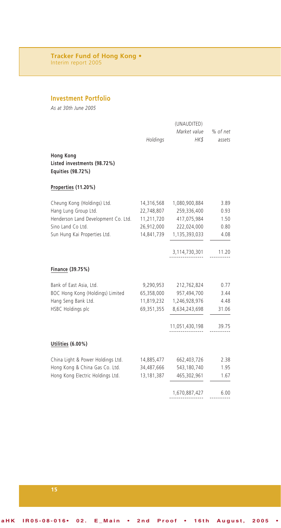# **Investment Portfolio**

*As at 30th June 2005*

|                                                                      |            | % of net       |        |
|----------------------------------------------------------------------|------------|----------------|--------|
|                                                                      | Holdings   | HKS            | assets |
| <b>Hong Kong</b><br>Listed investments (98.72%)<br>Equities (98.72%) |            |                |        |
| Properties (11.20%)                                                  |            |                |        |
| Cheung Kong (Holdings) Ltd.                                          | 14,316,568 | 1,080,900,884  | 3.89   |
| Hang Lung Group Ltd.                                                 | 22,748,807 | 259,336,400    | 0.93   |
| Henderson Land Development Co. Ltd.                                  | 11,211,720 | 417,075,984    | 1.50   |
| Sino Land Co Ltd.                                                    | 26,912,000 | 222,024,000    | 0.80   |
| Sun Hung Kai Properties Ltd.                                         | 14,841,739 | 1,135,393,033  | 4.08   |
|                                                                      |            | 3,114,730,301  | 11.20  |
| Finance (39.75%)                                                     |            |                |        |
| Bank of East Asia, Ltd.                                              | 9,290,953  | 212,762,824    | 0.77   |
| BOC Hong Kong (Holdings) Limited                                     | 65,358,000 | 957,494,700    | 3.44   |
| Hang Seng Bank Ltd.                                                  | 11,819,232 | 1,246,928,976  | 4.48   |
| HSBC Holdings plc                                                    | 69,351,355 | 8,634,243,698  | 31.06  |
|                                                                      |            | 11,051,430,198 | 39.75  |
| Utilities (6.00%)                                                    |            |                |        |
| China Light & Power Holdings Ltd.                                    | 14,885,477 | 662,403,726    | 2.38   |
| Hong Kong & China Gas Co. Ltd.                                       | 34,487,666 | 543,180,740    | 1.95   |
| Hong Kong Electric Holdings Ltd.                                     | 13,181,387 | 465,302,961    | 1.67   |
|                                                                      |            | 1,670,887,427  | 6.00   |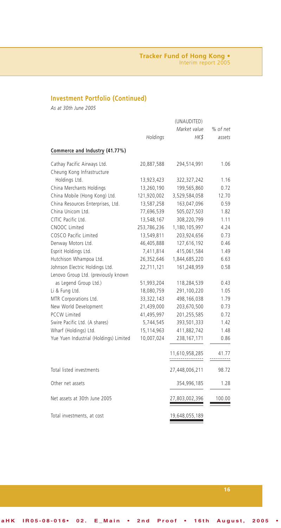# **Investment Portfolio (Continued)**

*As at 30th June 2005*

|                                        |              | % of net            |        |
|----------------------------------------|--------------|---------------------|--------|
|                                        | Holdings     | $H K$ \$            | assets |
| Commerce and Industry (41.77%)         |              |                     |        |
| Cathay Pacific Airways Ltd.            | 20,887,588   | 294,514,991         | 1.06   |
| Cheung Kong Infrastructure             |              |                     |        |
| Holdings Ltd.                          | 13,923,423   | 322,327,242         | 1.16   |
| China Merchants Holdings               | 13,260,190   | 199,565,860         | 0.72   |
| China Mobile (Hong Kong) Ltd.          | 121,920,002  | 3,529,584,058       | 12.70  |
| China Resources Enterprises, Ltd.      | 13,587,258   | 163,047,096         | 0.59   |
| China Unicom Ltd.                      | 77,696,539   | 505,027,503         | 1.82   |
| CITIC Pacific Ltd.                     | 13,548,167   | 308,220,799         | 1.11   |
| CNOOC Limited                          | 253,786,236  | 1,180,105,997       | 4.24   |
| COSCO Pacific Limited                  | 13,549,811   | 203,924,656         | 0.73   |
| Denway Motors Ltd.                     | 46,405,888   | 127,616,192         | 0.46   |
| Esprit Holdings Ltd.                   | 7,411,814    | 415,061,584         | 1.49   |
| Hutchison Whampoa Ltd.                 | 26,352,646   | 1,844,685,220       | 6.63   |
| Johnson Electric Holdings Ltd.         | 22,711,121   | 161,248,959         | 0.58   |
| Lenovo Group Ltd. (previously known    |              |                     |        |
| as Legend Group Ltd.)                  | 51,993,204   | 118,284,539         | 0.43   |
| Li & Fung Ltd.                         | 18,080,759   | 291,100,220         | 1.05   |
| MTR Corporations Ltd.                  | 33, 322, 143 | 498,166,038         | 1.79   |
| New World Development                  | 21,439,000   | 203,670,500         | 0.73   |
| <b>PCCW Limited</b>                    | 41,495,997   | 201,255,585         | 0.72   |
| Swire Pacific Ltd. (A shares)          | 5,744,545    | 393,501,333         | 1.42   |
| Wharf (Holdings) Ltd.                  | 15,114,963   | 411,882,742         | 1.48   |
| Yue Yuen Industrial (Holdings) Limited | 10,007,024   | 238, 167, 171       | 0.86   |
|                                        |              | 11,610,958,285<br>. | 41.77  |
| Total listed investments               |              | 27,448,006,211      | 98.72  |
| Other net assets                       |              | 354,996,185         | 1.28   |
| Net assets at 30th June 2005           |              | 27,803,002,396      | 100.00 |
| Total investments, at cost             |              | 19,648,055,189      |        |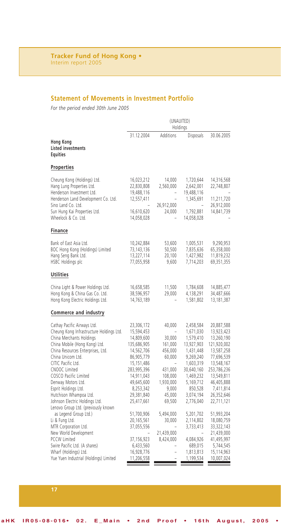## **Statement of Movements in Investment Portfolio**

*For the period ended 30th June 2005*

|                                                                                                                                                                                                                      | (UNAUITED)<br>Holdings                                                                          |                                                    |                                                                                          |                                                                                                 |
|----------------------------------------------------------------------------------------------------------------------------------------------------------------------------------------------------------------------|-------------------------------------------------------------------------------------------------|----------------------------------------------------|------------------------------------------------------------------------------------------|-------------------------------------------------------------------------------------------------|
| <b>Hong Kong</b><br>Listed investments<br><b>Equities</b>                                                                                                                                                            | 31.12.2004                                                                                      | Additions                                          | Disposals                                                                                | 30.06.2005                                                                                      |
| Properties                                                                                                                                                                                                           |                                                                                                 |                                                    |                                                                                          |                                                                                                 |
| Cheung Kong (Holdings) Ltd.<br>Hang Lung Properties Ltd.<br>Henderson Investment Ltd.<br>Henderson Land Development Co. Ltd.<br>Sino Land Co. Ltd.<br>Sun Hung Kai Properties Ltd.<br>Wheelock & Co. Ltd.            | 16,023,212<br>22,830,808<br>19,488,116<br>12,557,411<br>16,610,620<br>14,058,028                | 14,000<br>2,560,000<br>26,912,000<br>24,000        | 1,720,644<br>2,642,001<br>19,488,116<br>1,345,691<br>1,792,881<br>14,058,028             | 14,316,568<br>22,748,807<br>11,211,720<br>26,912,000<br>14,841,739                              |
| Finance                                                                                                                                                                                                              |                                                                                                 |                                                    |                                                                                          |                                                                                                 |
| Bank of East Asia Ltd.<br>BOC Hong Kong (Holdings) Limited<br>Hang Seng Bank Ltd.<br>HSBC Holdings plc                                                                                                               | 10,242,884<br>73,143,136<br>13,227,114<br>77,055,958                                            | 53,600<br>50,500<br>20,100<br>9,600                | 1,005,531<br>7,835,636<br>1,427,982<br>7,714,203                                         | 9,290,953<br>65,358,000<br>11,819,232<br>69,351,355                                             |
| <b>Utilities</b>                                                                                                                                                                                                     |                                                                                                 |                                                    |                                                                                          |                                                                                                 |
| China Light & Power Holdings Ltd.<br>Hong Kong & China Gas Co. Ltd.<br>Hong Kong Electric Holdings Ltd.                                                                                                              | 16,658,585<br>38,596,957<br>14,763,189                                                          | 11,500<br>29,000                                   | 1,784,608<br>4,138,291<br>1,581,802                                                      | 14,885,477<br>34,487,666<br>13,181,387                                                          |
| <b>Commerce and industry</b>                                                                                                                                                                                         |                                                                                                 |                                                    |                                                                                          |                                                                                                 |
| Cathay Pacific Airways Ltd.<br>Cheung Kong Infrastructure Holdings Ltd.<br>China Merchants Holdings<br>China Mobile (Hong Kong) Ltd.<br>China Resources Enterprises, Ltd.<br>China Unicom Ltd.<br>CITIC Pacific Ltd. | 23,306,172<br>15,594,453<br>14,809,600<br>135,686,905<br>14,562,706<br>86,905,779<br>15,151,486 | 40,000<br>30,000<br>161,000<br>456,000<br>60,000   | 2,458,584<br>1,671,030<br>1,579,410<br>13,927,903<br>1,431,448<br>9,269,240<br>1,603,319 | 20,887,588<br>13,923,423<br>13,260,190<br>121,920,002<br>13,587,258<br>77,696,539<br>13,548,167 |
| CNOOC Limited<br>COSCO Pacific Limited<br>Denway Motors Ltd.<br>Esprit Holdings Ltd.<br>Hutchison Whampoa Ltd.                                                                                                       | 283,995,396<br>14,911,043<br>49,645,600<br>8,253,342<br>29,381,840                              | 431,000<br>108,000<br>1,930,000<br>9,000<br>45,000 | 30,640,160<br>1,469,232<br>5,169,712<br>850,528<br>3,074,194                             | 253,786,236<br>13,549,811<br>46,405,888<br>7,411,814<br>26,352,646                              |
| Johnson Electric Holdings Ltd.<br>Lenovo Group Ltd. (previously known<br>as Legend Group Ltd.)<br>Li & Fung Ltd.<br>MTR Corporation Ltd.<br>New World Development                                                    | 25,417,661<br>51,700,906<br>20,165,561<br>37,055,556                                            | 69,500<br>5,494,000<br>30,000<br>21,439,000        | 2,776,040<br>5,201,702<br>2,114,802<br>3,733,413                                         | 22,711,121<br>51,993,204<br>18,080,759<br>33,322,143<br>21,439,000                              |
| <b>PCCW Limited</b><br>Swire Pacific Ltd. (A shares)<br>Wharf (Holdings) Ltd.<br>Yue Yuen Industrial (Holdings) Limited                                                                                              | 37,156,923<br>6,433,560<br>16,928,776<br>11,206,558                                             | 8,424,000<br>L,                                    | 4,084,926<br>689,015<br>1,813,813<br>1,199,534                                           | 41,495,997<br>5,744,545<br>15,114,963<br>10,007,024                                             |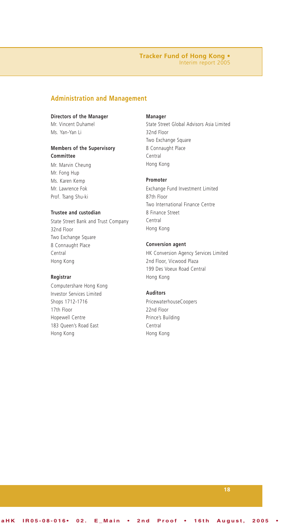## **Administration and Management**

#### **Directors of the Manager**

Mr. Vincent Duhamel Ms. Yan-Yan Li

#### **Members of the Supervisory Committee**

Mr. Marvin Cheung Mr. Fong Hup Ms. Karen Kemp Mr. Lawrence Fok Prof. Tsang Shu-ki

#### **Trustee and custodian**

State Street Bank and Trust Company 32nd Floor Two Exchange Square 8 Connaught Place Central Hong Kong

#### **Registrar**

Computershare Hong Kong Investor Services Limited Shops 1712-1716 17th Floor Hopewell Centre 183 Queen's Road East Hong Kong

#### **Manager**

State Street Global Advisors Asia Limited 32nd Floor Two Exchange Square 8 Connaught Place Central Hong Kong

#### **Promoter**

Exchange Fund Investment Limited 87th Floor Two International Finance Centre 8 Finance Street Central Hong Kong

#### **Conversion agent**

HK Conversion Agency Services Limited 2nd Floor, Vicwood Plaza 199 Des Voeux Road Central Hong Kong

#### **Auditors**

PricewaterhouseCoopers 22nd Floor Prince's Building Central Hong Kong